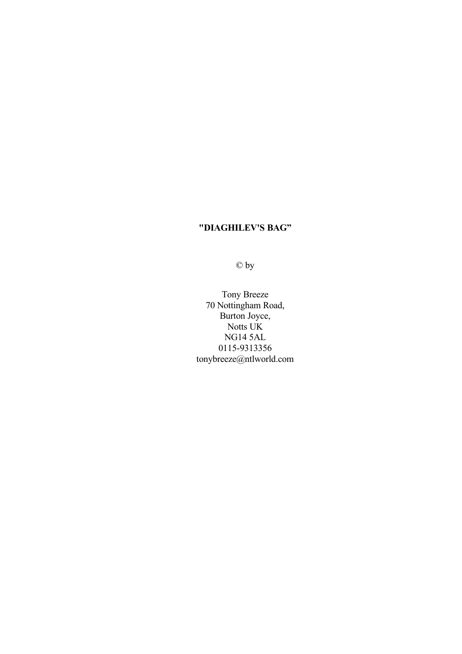© by

Tony Breeze 70 Nottingham Road, Burton Joyce, Notts UK NG14 5AL 0115-9313356 tonybreeze@ntlworld.com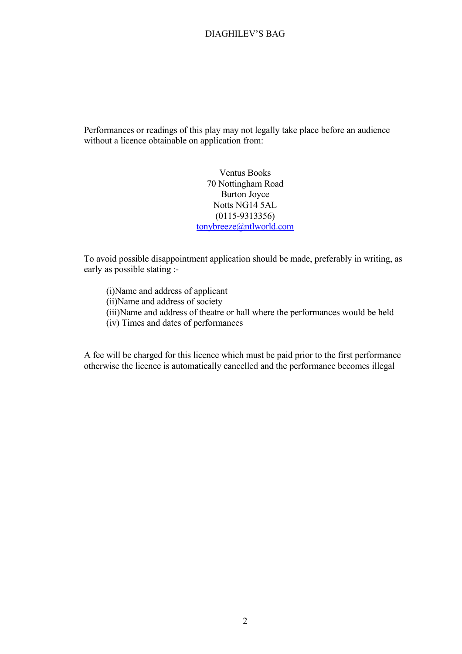Performances or readings of this play may not legally take place before an audience without a licence obtainable on application from:

> Ventus Books 70 Nottingham Road Burton Joyce Notts NG14 5AL (0115-9313356) [tonybreeze@ntlworld.com](mailto:tonybreeze@ntlworld.com)

To avoid possible disappointment application should be made, preferably in writing, as early as possible stating :-

(i)Name and address of applicant (ii)Name and address of society (iii)Name and address of theatre or hall where the performances would be held (iv) Times and dates of performances

A fee will be charged for this licence which must be paid prior to the first performance otherwise the licence is automatically cancelled and the performance becomes illegal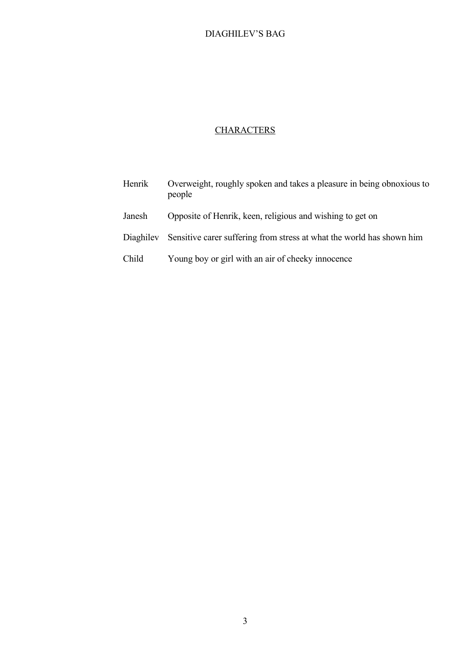## **CHARACTERS**

| Henrik    | Overweight, roughly spoken and takes a pleasure in being obnoxious to<br>people |
|-----------|---------------------------------------------------------------------------------|
| Janesh    | Opposite of Henrik, keen, religious and wishing to get on                       |
| Diaghiley | Sensitive carer suffering from stress at what the world has shown him           |
| Child     | Young boy or girl with an air of cheeky innocence                               |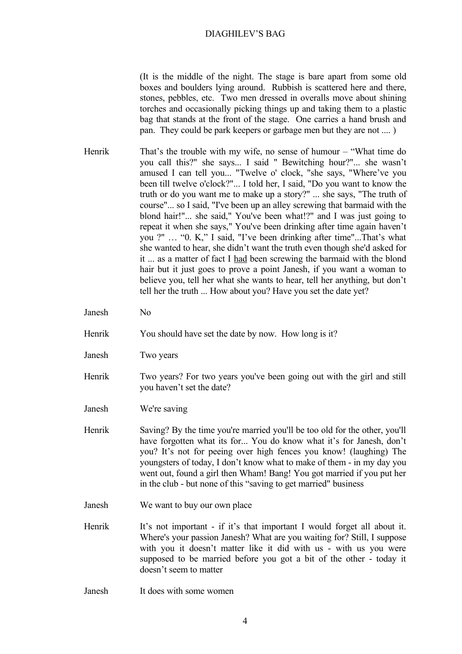(It is the middle of the night. The stage is bare apart from some old boxes and boulders lying around. Rubbish is scattered here and there, stones, pebbles, etc. Two men dressed in overalls move about shining torches and occasionally picking things up and taking them to a plastic bag that stands at the front of the stage. One carries a hand brush and pan. They could be park keepers or garbage men but they are not .... )

- Henrik That's the trouble with my wife, no sense of humour "What time do you call this?" she says... I said " Bewitching hour?"... she wasn't amused I can tell you... "Twelve o' clock, "she says, "Where've you been till twelve o'clock?"... I told her, I said, "Do you want to know the truth or do you want me to make up a story?" ... she says, "The truth of course"... so I said, "I've been up an alley screwing that barmaid with the blond hair!"... she said," You've been what!?" and I was just going to repeat it when she says," You've been drinking after time again haven't you ?" … "0. K," I said, "I've been drinking after time"...That's what she wanted to hear, she didn't want the truth even though she'd asked for it ... as a matter of fact I had been screwing the barmaid with the blond hair but it just goes to prove a point Janesh, if you want a woman to believe you, tell her what she wants to hear, tell her anything, but don't tell her the truth ... How about you? Have you set the date yet?
- Janesh No
- Henrik You should have set the date by now. How long is it?
- Janesh Two years
- Henrik Two years? For two years you've been going out with the girl and still you haven't set the date?
- Janesh We're saving
- Henrik Saving? By the time you're married you'll be too old for the other, you'll have forgotten what its for... You do know what it's for Janesh, don't you? It's not for peeing over high fences you know! (laughing) The youngsters of today, I don't know what to make of them - in my day you went out, found a girl then Wham! Bang! You got married if you put her in the club - but none of this "saving to get married" business
- Janesh We want to buy our own place
- Henrik It's not important if it's that important I would forget all about it. Where's your passion Janesh? What are you waiting for? Still, I suppose with you it doesn't matter like it did with us - with us you were supposed to be married before you got a bit of the other - today it doesn't seem to matter
- Janesh It does with some women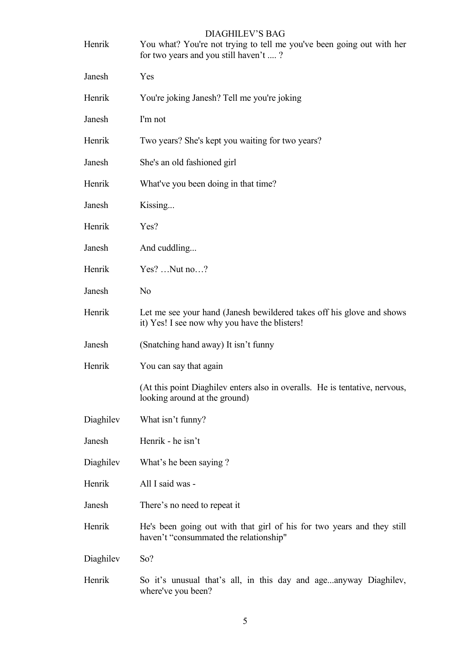| Henrik    | <b>DIAGHILEV'S BAG</b><br>You what? You're not trying to tell me you've been going out with her<br>for two years and you still haven't ? |
|-----------|------------------------------------------------------------------------------------------------------------------------------------------|
| Janesh    | Yes                                                                                                                                      |
| Henrik    | You're joking Janesh? Tell me you're joking                                                                                              |
| Janesh    | I'm not                                                                                                                                  |
| Henrik    | Two years? She's kept you waiting for two years?                                                                                         |
| Janesh    | She's an old fashioned girl                                                                                                              |
| Henrik    | What've you been doing in that time?                                                                                                     |
| Janesh    | Kissing                                                                                                                                  |
| Henrik    | Yes?                                                                                                                                     |
| Janesh    | And cuddling                                                                                                                             |
| Henrik    | $Yes?$ Nut no?                                                                                                                           |
| Janesh    | N <sub>o</sub>                                                                                                                           |
| Henrik    | Let me see your hand (Janesh bewildered takes off his glove and shows<br>it) Yes! I see now why you have the blisters!                   |
| Janesh    | (Snatching hand away) It isn't funny                                                                                                     |
| Henrik    | You can say that again                                                                                                                   |
|           | (At this point Diaghilev enters also in overalls. He is tentative, nervous,<br>looking around at the ground)                             |
| Diaghilev | What isn't funny?                                                                                                                        |
| Janesh    | Henrik - he isn't                                                                                                                        |
| Diaghilev | What's he been saying ?                                                                                                                  |
| Henrik    | All I said was -                                                                                                                         |
| Janesh    | There's no need to repeat it                                                                                                             |
| Henrik    | He's been going out with that girl of his for two years and they still<br>haven't "consummated the relationship"                         |
| Diaghilev | So?                                                                                                                                      |
| Henrik    | So it's unusual that's all, in this day and ageanyway Diaghilev,<br>where've you been?                                                   |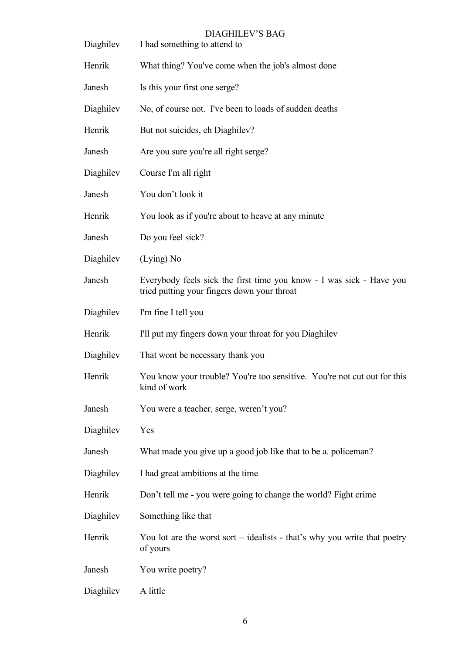| Diaghilev | I had something to attend to                                                                                        |
|-----------|---------------------------------------------------------------------------------------------------------------------|
| Henrik    | What thing? You've come when the job's almost done                                                                  |
| Janesh    | Is this your first one serge?                                                                                       |
| Diaghilev | No, of course not. I've been to loads of sudden deaths                                                              |
| Henrik    | But not suicides, eh Diaghilev?                                                                                     |
| Janesh    | Are you sure you're all right serge?                                                                                |
| Diaghilev | Course I'm all right                                                                                                |
| Janesh    | You don't look it                                                                                                   |
| Henrik    | You look as if you're about to heave at any minute                                                                  |
| Janesh    | Do you feel sick?                                                                                                   |
| Diaghilev | $(Lying)$ No                                                                                                        |
| Janesh    | Everybody feels sick the first time you know - I was sick - Have you<br>tried putting your fingers down your throat |
| Diaghilev | I'm fine I tell you                                                                                                 |
| Henrik    | I'll put my fingers down your throat for you Diaghilev                                                              |
| Diaghilev | That wont be necessary thank you                                                                                    |
| Henrik    | You know your trouble? You're too sensitive. You're not cut out for this<br>kind of work                            |
| Janesh    | You were a teacher, serge, weren't you?                                                                             |
| Diaghilev | Yes                                                                                                                 |
| Janesh    | What made you give up a good job like that to be a. policeman?                                                      |
| Diaghilev | I had great ambitions at the time                                                                                   |
| Henrik    | Don't tell me - you were going to change the world? Fight crime                                                     |
| Diaghilev | Something like that                                                                                                 |
| Henrik    | You lot are the worst sort – idealists - that's why you write that poetry<br>of yours                               |
| Janesh    | You write poetry?                                                                                                   |
| Diaghilev | A little                                                                                                            |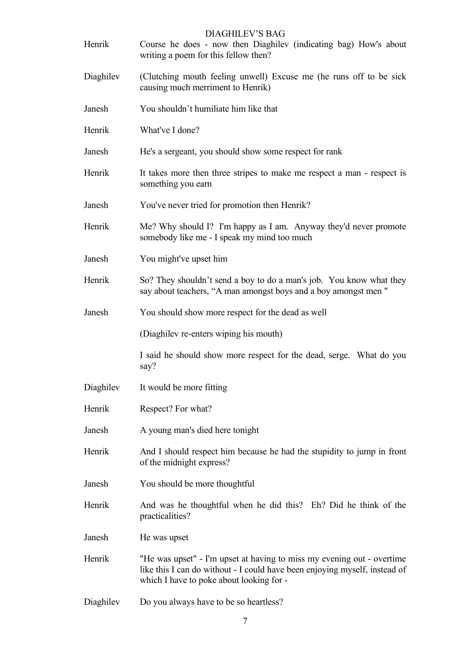| Henrik    | <b>DIAGHILEV'S BAG</b><br>Course he does - now then Diaghilev (indicating bag) How's about<br>writing a poem for this fellow then?                                                               |
|-----------|--------------------------------------------------------------------------------------------------------------------------------------------------------------------------------------------------|
| Diaghilev | (Clutching mouth feeling unwell) Excuse me (he runs off to be sick<br>causing much merriment to Henrik)                                                                                          |
| Janesh    | You shouldn't humiliate him like that                                                                                                                                                            |
| Henrik    | What've I done?                                                                                                                                                                                  |
| Janesh    | He's a sergeant, you should show some respect for rank                                                                                                                                           |
| Henrik    | It takes more then three stripes to make me respect a man - respect is<br>something you earn                                                                                                     |
| Janesh    | You've never tried for promotion then Henrik?                                                                                                                                                    |
| Henrik    | Me? Why should I? I'm happy as I am. Anyway they'd never promote<br>somebody like me - I speak my mind too much                                                                                  |
| Janesh    | You might've upset him                                                                                                                                                                           |
| Henrik    | So? They shouldn't send a boy to do a man's job. You know what they<br>say about teachers, "A man amongst boys and a boy amongst men"                                                            |
| Janesh    | You should show more respect for the dead as well                                                                                                                                                |
|           | (Diaghilev re-enters wiping his mouth)                                                                                                                                                           |
|           | I said he should show more respect for the dead, serge. What do you<br>say?                                                                                                                      |
| Diaghilev | It would be more fitting                                                                                                                                                                         |
| Henrik    | Respect? For what?                                                                                                                                                                               |
| Janesh    | A young man's died here tonight                                                                                                                                                                  |
| Henrik    | And I should respect him because he had the stupidity to jump in front<br>of the midnight express?                                                                                               |
| Janesh    | You should be more thoughtful                                                                                                                                                                    |
| Henrik    | And was he thoughtful when he did this? Eh? Did he think of the<br>practicalities?                                                                                                               |
| Janesh    | He was upset                                                                                                                                                                                     |
| Henrik    | "He was upset" - I'm upset at having to miss my evening out - overtime<br>like this I can do without - I could have been enjoying myself, instead of<br>which I have to poke about looking for - |
| Diaghilev | Do you always have to be so heartless?                                                                                                                                                           |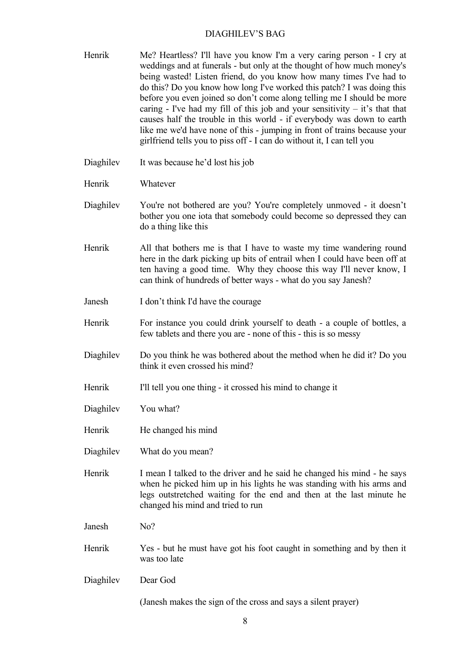- Henrik Me? Heartless? I'll have you know I'm a very caring person I cry at weddings and at funerals - but only at the thought of how much money's being wasted! Listen friend, do you know how many times I've had to do this? Do you know how long I've worked this patch? I was doing this before you even joined so don't come along telling me I should be more caring - I've had my fill of this job and your sensitivity  $-$  it's that that causes half the trouble in this world - if everybody was down to earth like me we'd have none of this - jumping in front of trains because your girlfriend tells you to piss off - I can do without it, I can tell you
- Diaghilev It was because he'd lost his job
- Henrik Whatever
- Diaghilev You're not bothered are you? You're completely unmoved it doesn't bother you one iota that somebody could become so depressed they can do a thing like this
- Henrik All that bothers me is that I have to waste my time wandering round here in the dark picking up bits of entrail when I could have been off at ten having a good time. Why they choose this way I'll never know, I can think of hundreds of better ways - what do you say Janesh?
- Janesh I don't think I'd have the courage
- Henrik For instance you could drink yourself to death a couple of bottles, a few tablets and there you are - none of this - this is so messy
- Diaghilev Do you think he was bothered about the method when he did it? Do you think it even crossed his mind?
- Henrik I'll tell you one thing it crossed his mind to change it
- Diaghilev You what?
- Henrik He changed his mind
- Diaghilev What do you mean?
- Henrik I mean I talked to the driver and he said he changed his mind he says when he picked him up in his lights he was standing with his arms and legs outstretched waiting for the end and then at the last minute he changed his mind and tried to run
- Janesh No?
- Henrik Yes but he must have got his foot caught in something and by then it was too late
- Diaghilev Dear God

(Janesh makes the sign of the cross and says a silent prayer)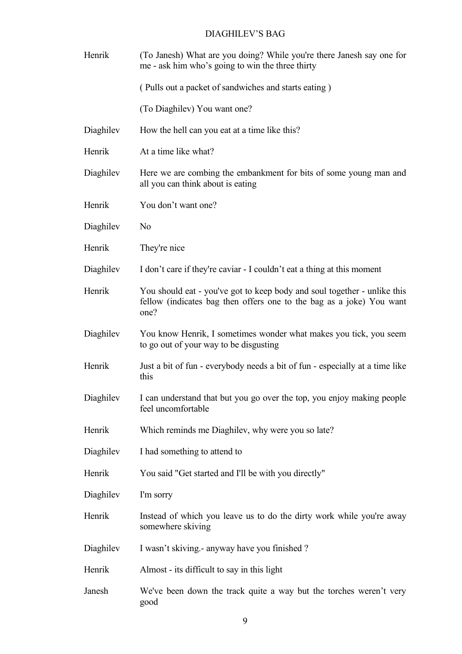| Henrik    | (To Janesh) What are you doing? While you're there Janesh say one for<br>me - ask him who's going to win the three thirty                                |
|-----------|----------------------------------------------------------------------------------------------------------------------------------------------------------|
|           | (Pulls out a packet of sandwiches and starts eating)                                                                                                     |
|           | (To Diaghilev) You want one?                                                                                                                             |
| Diaghilev | How the hell can you eat at a time like this?                                                                                                            |
| Henrik    | At a time like what?                                                                                                                                     |
| Diaghilev | Here we are combing the embankment for bits of some young man and<br>all you can think about is eating                                                   |
| Henrik    | You don't want one?                                                                                                                                      |
| Diaghilev | N <sub>0</sub>                                                                                                                                           |
| Henrik    | They're nice                                                                                                                                             |
| Diaghilev | I don't care if they're caviar - I couldn't eat a thing at this moment                                                                                   |
| Henrik    | You should eat - you've got to keep body and soul together - unlike this<br>fellow (indicates bag then offers one to the bag as a joke) You want<br>one? |
| Diaghilev | You know Henrik, I sometimes wonder what makes you tick, you seem<br>to go out of your way to be disgusting                                              |
| Henrik    | Just a bit of fun - everybody needs a bit of fun - especially at a time like<br>this                                                                     |
|           | Diaghilev I can understand that but you go over the top, you enjoy making people<br>feel uncomfortable                                                   |
| Henrik    | Which reminds me Diaghilev, why were you so late?                                                                                                        |
| Diaghilev | I had something to attend to                                                                                                                             |
| Henrik    | You said "Get started and I'll be with you directly"                                                                                                     |
| Diaghilev | I'm sorry                                                                                                                                                |
| Henrik    | Instead of which you leave us to do the dirty work while you're away<br>somewhere skiving                                                                |
| Diaghilev | I wasn't skiving. - anyway have you finished?                                                                                                            |
| Henrik    | Almost - its difficult to say in this light                                                                                                              |
| Janesh    | We've been down the track quite a way but the torches weren't very<br>good                                                                               |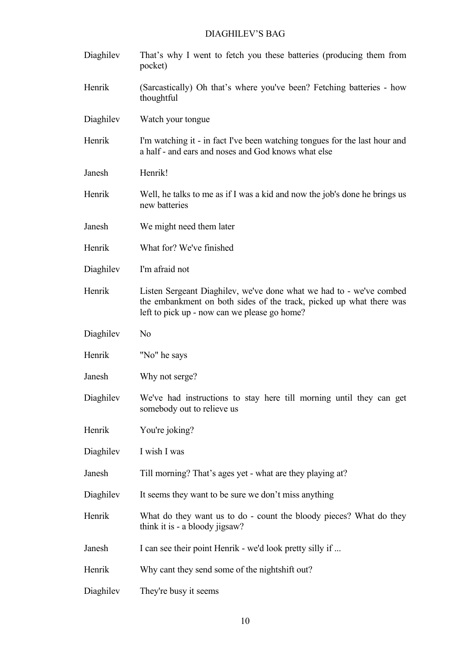Diaghilev That's why I went to fetch you these batteries (producing them from pocket) Henrik (Sarcastically) Oh that's where you've been? Fetching batteries - how thoughtful Diaghilev Watch your tongue Henrik I'm watching it - in fact I've been watching tongues for the last hour and a half - and ears and noses and God knows what else Janesh Henrik! Henrik Well, he talks to me as if I was a kid and now the job's done he brings us new batteries Janesh We might need them later Henrik What for? We've finished Diaghilev I'm afraid not Henrik Listen Sergeant Diaghilev, we've done what we had to - we've combed the embankment on both sides of the track, picked up what there was left to pick up - now can we please go home? Diaghilev No Henrik "No" he says Janesh Why not serge? Diaghilev We've had instructions to stay here till morning until they can get somebody out to relieve us Henrik You're joking? Diaghilev I wish I was Janesh Till morning? That's ages yet - what are they playing at? Diaghilev It seems they want to be sure we don't miss anything Henrik What do they want us to do - count the bloody pieces? What do they think it is - a bloody jigsaw? Janesh I can see their point Henrik - we'd look pretty silly if ... Henrik Why cant they send some of the nightshift out? Diaghilev They're busy it seems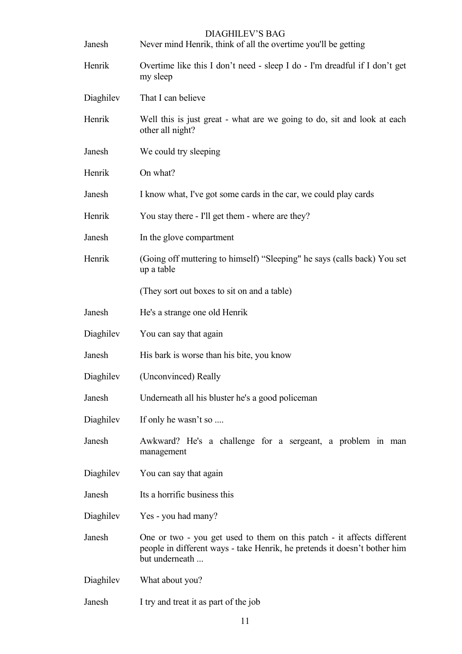| Janesh    | Never mind Henrik, think of all the overtime you'll be getting                                                                                                        |
|-----------|-----------------------------------------------------------------------------------------------------------------------------------------------------------------------|
| Henrik    | Overtime like this I don't need - sleep I do - I'm dreadful if I don't get<br>my sleep                                                                                |
| Diaghilev | That I can believe                                                                                                                                                    |
| Henrik    | Well this is just great - what are we going to do, sit and look at each<br>other all night?                                                                           |
| Janesh    | We could try sleeping                                                                                                                                                 |
| Henrik    | On what?                                                                                                                                                              |
| Janesh    | I know what, I've got some cards in the car, we could play cards                                                                                                      |
| Henrik    | You stay there - I'll get them - where are they?                                                                                                                      |
| Janesh    | In the glove compartment                                                                                                                                              |
| Henrik    | (Going off muttering to himself) "Sleeping" he says (calls back) You set<br>up a table                                                                                |
|           | (They sort out boxes to sit on and a table)                                                                                                                           |
| Janesh    | He's a strange one old Henrik                                                                                                                                         |
| Diaghilev | You can say that again                                                                                                                                                |
| Janesh    | His bark is worse than his bite, you know                                                                                                                             |
| Diaghilev | (Unconvinced) Really                                                                                                                                                  |
| Janesh    | Underneath all his bluster he's a good policeman                                                                                                                      |
| Diaghilev | If only he wasn't so                                                                                                                                                  |
| Janesh    | Awkward? He's a challenge for a sergeant, a problem in man<br>management                                                                                              |
| Diaghilev | You can say that again                                                                                                                                                |
| Janesh    | Its a horrific business this                                                                                                                                          |
| Diaghilev | Yes - you had many?                                                                                                                                                   |
| Janesh    | One or two - you get used to them on this patch - it affects different<br>people in different ways - take Henrik, he pretends it doesn't bother him<br>but underneath |
| Diaghilev | What about you?                                                                                                                                                       |

Janesh I try and treat it as part of the job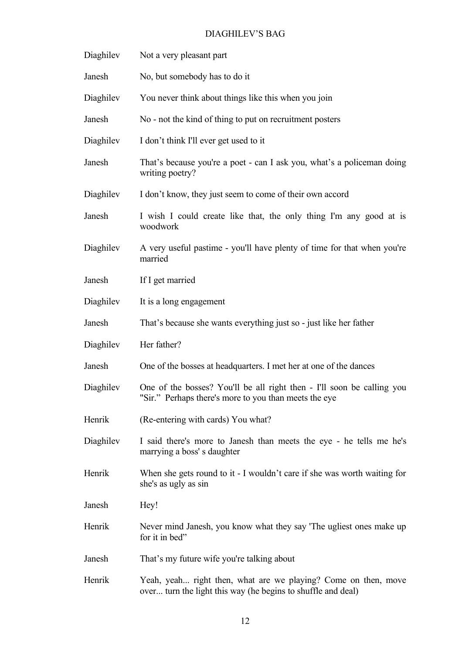| Diaghilev | Not a very pleasant part                                                                                                        |
|-----------|---------------------------------------------------------------------------------------------------------------------------------|
| Janesh    | No, but somebody has to do it                                                                                                   |
| Diaghilev | You never think about things like this when you join                                                                            |
| Janesh    | No - not the kind of thing to put on recruitment posters                                                                        |
| Diaghilev | I don't think I'll ever get used to it                                                                                          |
| Janesh    | That's because you're a poet - can I ask you, what's a policeman doing<br>writing poetry?                                       |
| Diaghilev | I don't know, they just seem to come of their own accord                                                                        |
| Janesh    | I wish I could create like that, the only thing I'm any good at is<br>woodwork                                                  |
| Diaghilev | A very useful pastime - you'll have plenty of time for that when you're<br>married                                              |
| Janesh    | If I get married                                                                                                                |
| Diaghilev | It is a long engagement                                                                                                         |
| Janesh    | That's because she wants everything just so - just like her father                                                              |
| Diaghilev | Her father?                                                                                                                     |
| Janesh    | One of the bosses at headquarters. I met her at one of the dances                                                               |
| Diaghilev | One of the bosses? You'll be all right then - I'll soon be calling you<br>"Sir." Perhaps there's more to you than meets the eye |
| Henrik    | (Re-entering with cards) You what?                                                                                              |
| Diaghilev | I said there's more to Janesh than meets the eye - he tells me he's<br>marrying a boss' s daughter                              |
| Henrik    | When she gets round to it - I wouldn't care if she was worth waiting for<br>she's as ugly as sin                                |
| Janesh    | Hey!                                                                                                                            |
| Henrik    | Never mind Janesh, you know what they say 'The ugliest ones make up<br>for it in bed"                                           |
| Janesh    | That's my future wife you're talking about                                                                                      |
| Henrik    | Yeah, yeah right then, what are we playing? Come on then, move<br>over turn the light this way (he begins to shuffle and deal)  |